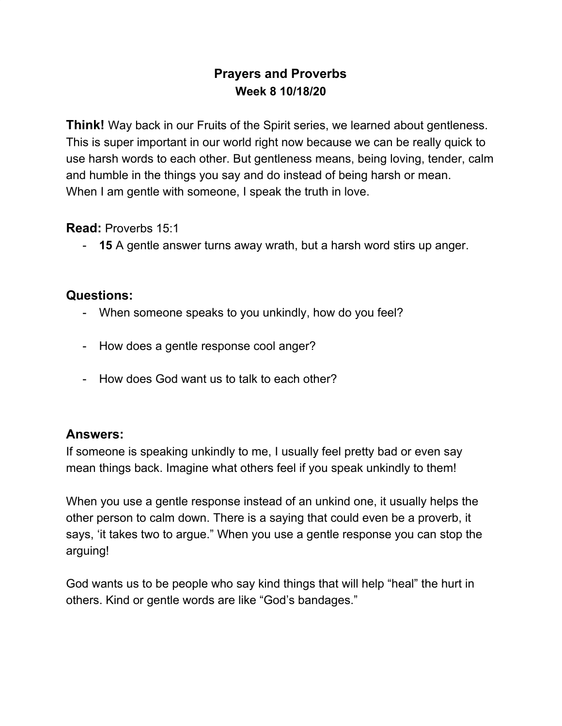# **Prayers and Proverbs Week 8 10/18/20**

**Think!** Way back in our Fruits of the Spirit series, we learned about gentleness. This is super important in our world right now because we can be really quick to use harsh words to each other. But gentleness means, being loving, tender, calm and humble in the things you say and do instead of being harsh or mean. When I am gentle with someone, I speak the truth in love.

**Read:** Proverbs 15:1

- **15** A gentle answer turns away wrath, but a harsh word stirs up anger.

### **Questions:**

- When someone speaks to you unkindly, how do you feel?
- How does a gentle response cool anger?
- How does God want us to talk to each other?

## **Answers:**

If someone is speaking unkindly to me, I usually feel pretty bad or even say mean things back. Imagine what others feel if you speak unkindly to them!

When you use a gentle response instead of an unkind one, it usually helps the other person to calm down. There is a saying that could even be a proverb, it says, 'it takes two to argue." When you use a gentle response you can stop the arguing!

God wants us to be people who say kind things that will help "heal" the hurt in others. Kind or gentle words are like "God's bandages."